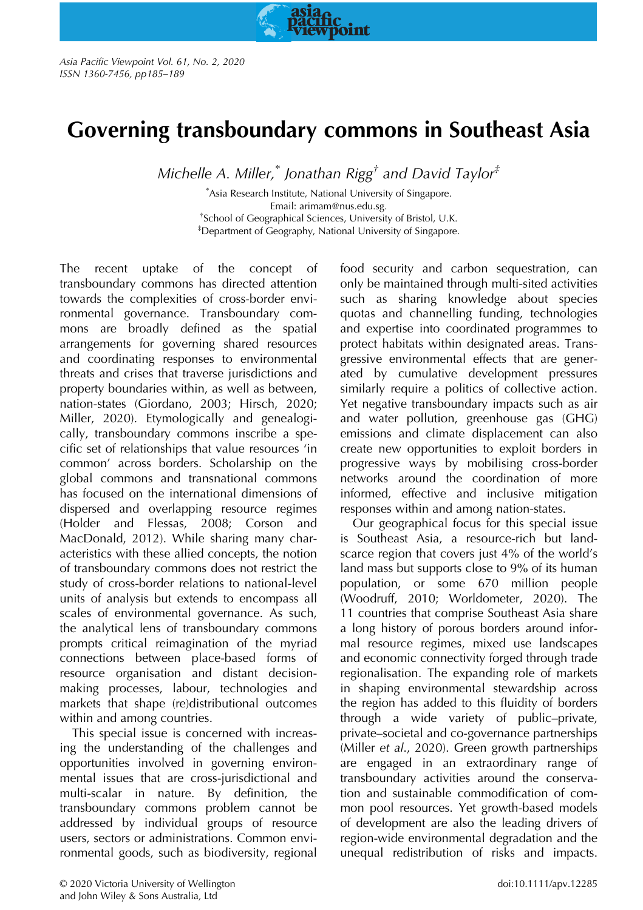Asia Pacific Viewpoint Vol. 61, No. 2, 2020 ISSN 1360-7456, pp185–189

# Governing transboundary commons in Southeast Asia

oint

Michelle A. Miller,<sup>\*</sup> Jonathan Rigg<sup>†</sup> and David Taylor<sup>‡</sup>

\* Asia Research Institute, National University of Singapore. Email: arimam@nus.edu.sg.<br>School of Geographical Sciences, University of Bristol, U.K.<sup>†</sup> ‡ Department of Geography, National University of Singapore.

The recent uptake of the concept of transboundary commons has directed attention towards the complexities of cross-border environmental governance. Transboundary commons are broadly defined as the spatial arrangements for governing shared resources and coordinating responses to environmental threats and crises that traverse jurisdictions and property boundaries within, as well as between, nation-states (Giordano, 2003; Hirsch, 2020; Miller, 2020). Etymologically and genealogically, transboundary commons inscribe a specific set of relationships that value resources 'in common' across borders. Scholarship on the global commons and transnational commons has focused on the international dimensions of dispersed and overlapping resource regimes (Holder and Flessas, 2008; Corson and MacDonald, 2012). While sharing many characteristics with these allied concepts, the notion of transboundary commons does not restrict the study of cross-border relations to national-level units of analysis but extends to encompass all scales of environmental governance. As such, the analytical lens of transboundary commons prompts critical reimagination of the myriad connections between place-based forms of resource organisation and distant decisionmaking processes, labour, technologies and markets that shape (re)distributional outcomes within and among countries.

This special issue is concerned with increasing the understanding of the challenges and opportunities involved in governing environmental issues that are cross-jurisdictional and multi-scalar in nature. By definition, the transboundary commons problem cannot be addressed by individual groups of resource users, sectors or administrations. Common environmental goods, such as biodiversity, regional

food security and carbon sequestration, can only be maintained through multi-sited activities such as sharing knowledge about species quotas and channelling funding, technologies and expertise into coordinated programmes to protect habitats within designated areas. Transgressive environmental effects that are generated by cumulative development pressures similarly require a politics of collective action. Yet negative transboundary impacts such as air and water pollution, greenhouse gas (GHG) emissions and climate displacement can also create new opportunities to exploit borders in progressive ways by mobilising cross-border networks around the coordination of more informed, effective and inclusive mitigation responses within and among nation-states.

Our geographical focus for this special issue is Southeast Asia, a resource-rich but landscarce region that covers just 4% of the world's land mass but supports close to 9% of its human population, or some 670 million people (Woodruff, 2010; Worldometer, 2020). The 11 countries that comprise Southeast Asia share a long history of porous borders around informal resource regimes, mixed use landscapes and economic connectivity forged through trade regionalisation. The expanding role of markets in shaping environmental stewardship across the region has added to this fluidity of borders through a wide variety of public–private, private–societal and co-governance partnerships (Miller et al., 2020). Green growth partnerships are engaged in an extraordinary range of transboundary activities around the conservation and sustainable commodification of common pool resources. Yet growth-based models of development are also the leading drivers of region-wide environmental degradation and the unequal redistribution of risks and impacts.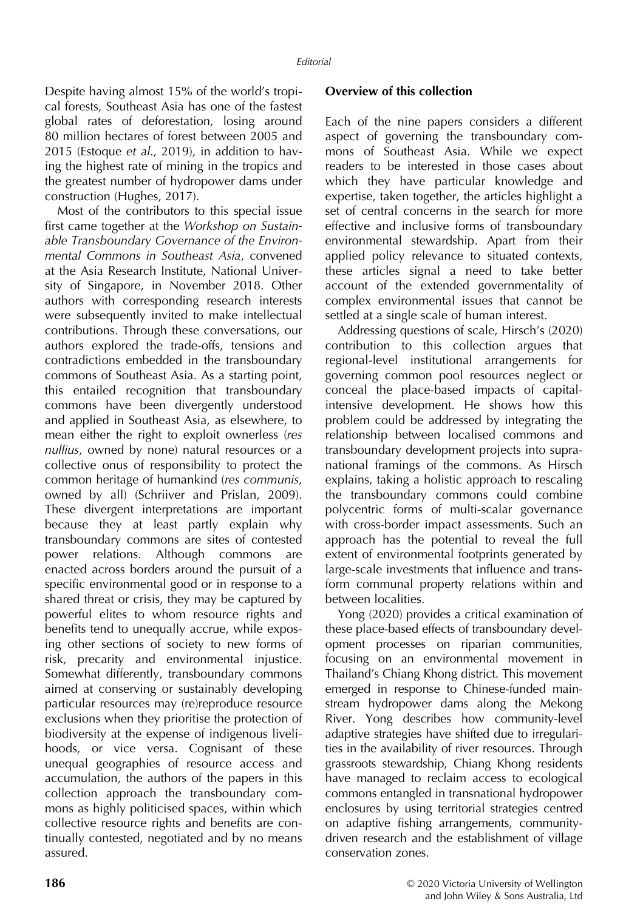Despite having almost 15% of the world's tropical forests, Southeast Asia has one of the fastest global rates of deforestation, losing around 80 million hectares of forest between 2005 and 2015 (Estoque et al., 2019), in addition to having the highest rate of mining in the tropics and the greatest number of hydropower dams under construction (Hughes, 2017).

Most of the contributors to this special issue first came together at the Workshop on Sustainable Transboundary Governance of the Environmental Commons in Southeast Asia, convened at the Asia Research Institute, National University of Singapore, in November 2018. Other authors with corresponding research interests were subsequently invited to make intellectual contributions. Through these conversations, our authors explored the trade-offs, tensions and contradictions embedded in the transboundary commons of Southeast Asia. As a starting point, this entailed recognition that transboundary commons have been divergently understood and applied in Southeast Asia, as elsewhere, to mean either the right to exploit ownerless (res nullius, owned by none) natural resources or a collective onus of responsibility to protect the common heritage of humankind (res communis, owned by all) (Schriiver and Prislan, 2009). These divergent interpretations are important because they at least partly explain why transboundary commons are sites of contested power relations. Although commons are enacted across borders around the pursuit of a specific environmental good or in response to a shared threat or crisis, they may be captured by powerful elites to whom resource rights and benefits tend to unequally accrue, while exposing other sections of society to new forms of risk, precarity and environmental injustice. Somewhat differently, transboundary commons aimed at conserving or sustainably developing particular resources may (re)reproduce resource exclusions when they prioritise the protection of biodiversity at the expense of indigenous livelihoods, or vice versa. Cognisant of these unequal geographies of resource access and accumulation, the authors of the papers in this collection approach the transboundary commons as highly politicised spaces, within which collective resource rights and benefits are continually contested, negotiated and by no means assured.

## Overview of this collection

Each of the nine papers considers a different aspect of governing the transboundary commons of Southeast Asia. While we expect readers to be interested in those cases about which they have particular knowledge and expertise, taken together, the articles highlight a set of central concerns in the search for more effective and inclusive forms of transboundary environmental stewardship. Apart from their applied policy relevance to situated contexts, these articles signal a need to take better account of the extended governmentality of complex environmental issues that cannot be settled at a single scale of human interest.

Addressing questions of scale, Hirsch's (2020) contribution to this collection argues that regional-level institutional arrangements for governing common pool resources neglect or conceal the place-based impacts of capitalintensive development. He shows how this problem could be addressed by integrating the relationship between localised commons and transboundary development projects into supranational framings of the commons. As Hirsch explains, taking a holistic approach to rescaling the transboundary commons could combine polycentric forms of multi-scalar governance with cross-border impact assessments. Such an approach has the potential to reveal the full extent of environmental footprints generated by large-scale investments that influence and transform communal property relations within and between localities.

Yong (2020) provides a critical examination of these place-based effects of transboundary development processes on riparian communities, focusing on an environmental movement in Thailand's Chiang Khong district. This movement emerged in response to Chinese-funded mainstream hydropower dams along the Mekong River. Yong describes how community-level adaptive strategies have shifted due to irregularities in the availability of river resources. Through grassroots stewardship, Chiang Khong residents have managed to reclaim access to ecological commons entangled in transnational hydropower enclosures by using territorial strategies centred on adaptive fishing arrangements, communitydriven research and the establishment of village conservation zones.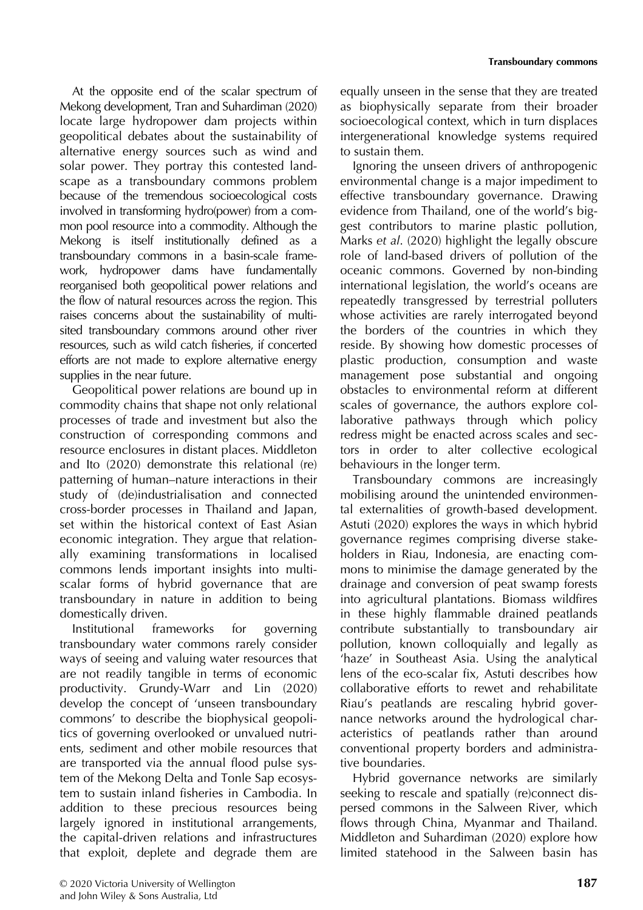At the opposite end of the scalar spectrum of Mekong development, Tran and Suhardiman (2020) locate large hydropower dam projects within geopolitical debates about the sustainability of alternative energy sources such as wind and solar power. They portray this contested landscape as a transboundary commons problem because of the tremendous socioecological costs involved in transforming hydro(power) from a common pool resource into a commodity. Although the Mekong is itself institutionally defined as a transboundary commons in a basin-scale framework, hydropower dams have fundamentally reorganised both geopolitical power relations and the flow of natural resources across the region. This raises concerns about the sustainability of multisited transboundary commons around other river resources, such as wild catch fisheries, if concerted efforts are not made to explore alternative energy supplies in the near future.

Geopolitical power relations are bound up in commodity chains that shape not only relational processes of trade and investment but also the construction of corresponding commons and resource enclosures in distant places. Middleton and Ito (2020) demonstrate this relational (re) patterning of human–nature interactions in their study of (de)industrialisation and connected cross-border processes in Thailand and Japan, set within the historical context of East Asian economic integration. They argue that relationally examining transformations in localised commons lends important insights into multiscalar forms of hybrid governance that are transboundary in nature in addition to being domestically driven.

Institutional frameworks for governing transboundary water commons rarely consider ways of seeing and valuing water resources that are not readily tangible in terms of economic productivity. Grundy-Warr and Lin (2020) develop the concept of 'unseen transboundary commons' to describe the biophysical geopolitics of governing overlooked or unvalued nutrients, sediment and other mobile resources that are transported via the annual flood pulse system of the Mekong Delta and Tonle Sap ecosystem to sustain inland fisheries in Cambodia. In addition to these precious resources being largely ignored in institutional arrangements, the capital-driven relations and infrastructures that exploit, deplete and degrade them are equally unseen in the sense that they are treated as biophysically separate from their broader socioecological context, which in turn displaces intergenerational knowledge systems required to sustain them.

Ignoring the unseen drivers of anthropogenic environmental change is a major impediment to effective transboundary governance. Drawing evidence from Thailand, one of the world's biggest contributors to marine plastic pollution, Marks et al. (2020) highlight the legally obscure role of land-based drivers of pollution of the oceanic commons. Governed by non-binding international legislation, the world's oceans are repeatedly transgressed by terrestrial polluters whose activities are rarely interrogated beyond the borders of the countries in which they reside. By showing how domestic processes of plastic production, consumption and waste management pose substantial and ongoing obstacles to environmental reform at different scales of governance, the authors explore collaborative pathways through which policy redress might be enacted across scales and sectors in order to alter collective ecological behaviours in the longer term.

Transboundary commons are increasingly mobilising around the unintended environmental externalities of growth-based development. Astuti (2020) explores the ways in which hybrid governance regimes comprising diverse stakeholders in Riau, Indonesia, are enacting commons to minimise the damage generated by the drainage and conversion of peat swamp forests into agricultural plantations. Biomass wildfires in these highly flammable drained peatlands contribute substantially to transboundary air pollution, known colloquially and legally as 'haze' in Southeast Asia. Using the analytical lens of the eco-scalar fix, Astuti describes how collaborative efforts to rewet and rehabilitate Riau's peatlands are rescaling hybrid governance networks around the hydrological characteristics of peatlands rather than around conventional property borders and administrative boundaries.

Hybrid governance networks are similarly seeking to rescale and spatially (re)connect dispersed commons in the Salween River, which flows through China, Myanmar and Thailand. Middleton and Suhardiman (2020) explore how limited statehood in the Salween basin has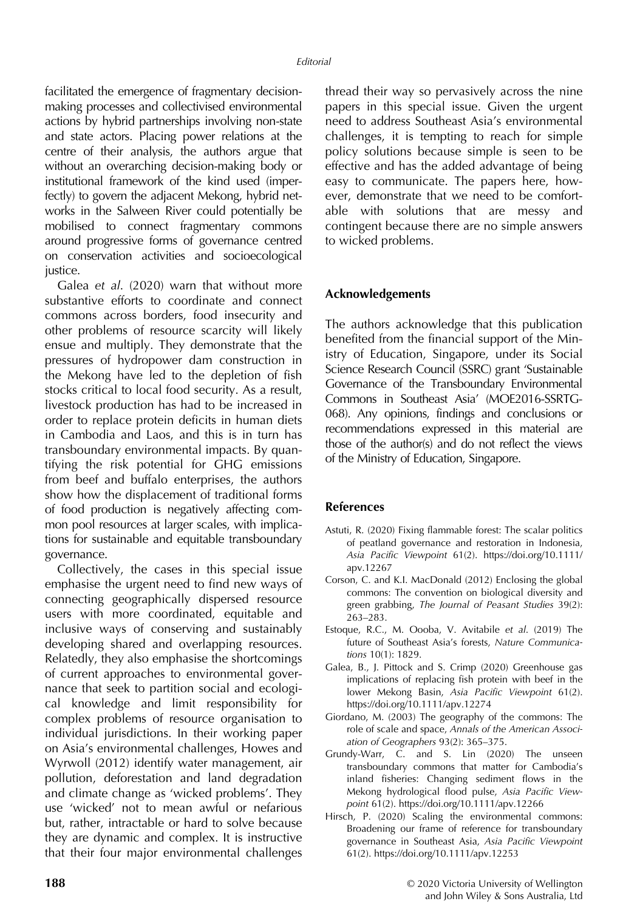facilitated the emergence of fragmentary decisionmaking processes and collectivised environmental actions by hybrid partnerships involving non-state and state actors. Placing power relations at the centre of their analysis, the authors argue that without an overarching decision-making body or institutional framework of the kind used (imperfectly) to govern the adjacent Mekong, hybrid networks in the Salween River could potentially be mobilised to connect fragmentary commons around progressive forms of governance centred on conservation activities and socioecological justice.

Galea et al. (2020) warn that without more substantive efforts to coordinate and connect commons across borders, food insecurity and other problems of resource scarcity will likely ensue and multiply. They demonstrate that the pressures of hydropower dam construction in the Mekong have led to the depletion of fish stocks critical to local food security. As a result, livestock production has had to be increased in order to replace protein deficits in human diets in Cambodia and Laos, and this is in turn has transboundary environmental impacts. By quantifying the risk potential for GHG emissions from beef and buffalo enterprises, the authors show how the displacement of traditional forms of food production is negatively affecting common pool resources at larger scales, with implications for sustainable and equitable transboundary governance.

Collectively, the cases in this special issue emphasise the urgent need to find new ways of connecting geographically dispersed resource users with more coordinated, equitable and inclusive ways of conserving and sustainably developing shared and overlapping resources. Relatedly, they also emphasise the shortcomings of current approaches to environmental governance that seek to partition social and ecological knowledge and limit responsibility for complex problems of resource organisation to individual jurisdictions. In their working paper on Asia's environmental challenges, Howes and Wyrwoll (2012) identify water management, air pollution, deforestation and land degradation and climate change as 'wicked problems'. They use 'wicked' not to mean awful or nefarious but, rather, intractable or hard to solve because they are dynamic and complex. It is instructive that their four major environmental challenges

thread their way so pervasively across the nine papers in this special issue. Given the urgent need to address Southeast Asia's environmental challenges, it is tempting to reach for simple policy solutions because simple is seen to be effective and has the added advantage of being easy to communicate. The papers here, however, demonstrate that we need to be comfortable with solutions that are messy and contingent because there are no simple answers to wicked problems.

## Acknowledgements

The authors acknowledge that this publication benefited from the financial support of the Ministry of Education, Singapore, under its Social Science Research Council (SSRC) grant 'Sustainable Governance of the Transboundary Environmental Commons in Southeast Asia' (MOE2016-SSRTG-068). Any opinions, findings and conclusions or recommendations expressed in this material are those of the author(s) and do not reflect the views of the Ministry of Education, Singapore.

#### References

- Astuti, R. (2020) Fixing flammable forest: The scalar politics of peatland governance and restoration in Indonesia, Asia Pacific Viewpoint 61(2). [https://doi.org/10.1111/](https://doi.org/10.1111/apv.12267) [apv.12267](https://doi.org/10.1111/apv.12267)
- Corson, C. and K.I. MacDonald (2012) Enclosing the global commons: The convention on biological diversity and green grabbing, The Journal of Peasant Studies 39(2): 263–283.
- Estoque, R.C., M. Oooba, V. Avitabile et al. (2019) The future of Southeast Asia's forests, Nature Communications 10(1): 1829.
- Galea, B., J. Pittock and S. Crimp (2020) Greenhouse gas implications of replacing fish protein with beef in the lower Mekong Basin, Asia Pacific Viewpoint 61(2). <https://doi.org/10.1111/apv.12274>
- Giordano, M. (2003) The geography of the commons: The role of scale and space, Annals of the American Association of Geographers 93(2): 365–375.
- Grundy-Warr, C. and S. Lin (2020) The unseen transboundary commons that matter for Cambodia's inland fisheries: Changing sediment flows in the Mekong hydrological flood pulse, Asia Pacific Viewpoint 61(2).<https://doi.org/10.1111/apv.12266>
- Hirsch, P. (2020) Scaling the environmental commons: Broadening our frame of reference for transboundary governance in Southeast Asia, Asia Pacific Viewpoint 61(2).<https://doi.org/10.1111/apv.12253>